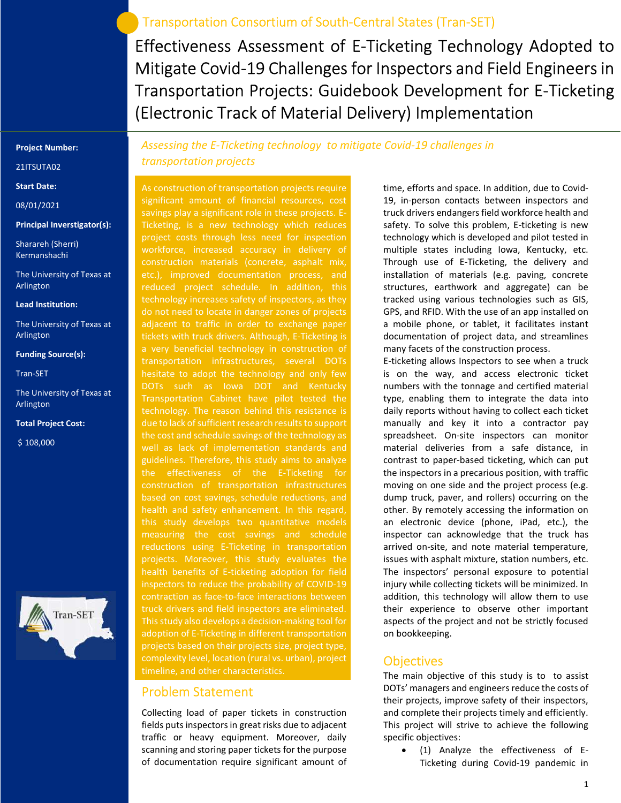## Transportation Consortium of South-Central States (Tran-SET)

Effectiveness Assessment of E-Ticketing Technology Adopted to Mitigate Covid-19 Challenges for Inspectors and Field Engineers in Transportation Projects: Guidebook Development for E-Ticketing (Electronic Track of Material Delivery) Implementation

#### Project Number:

21ITSUTA02

Start Date:

08/01/2021

Principal Inverstigator(s):

Sharareh (Sherri) Kermanshachi

The University of Texas at Arlington

Lead Institution:

The University of Texas at Arlington

#### Funding Source(s):

Tran-SET

The University of Texas at Arlington

Total Project Cost:

\$ 108,000



Assessing the E-Ticketing technology to mitigate Covid-19 challenges in transportation projects

As construction of transportation projects require significant amount of financial resources, cost savings play a significant role in these projects. E-Ticketing, is a new technology which reduces project costs through less need for inspection etc.), improved documentation process, and reduced project schedule. In addition, this technology increases safety of inspectors, as they do not need to locate in danger zones of projects adjacent to traffic in order to exchange paper tickets with truck drivers. Although, E-Ticketing is a very beneficial technology in construction of transportation infrastructures, several DOTs hesitate to adopt the technology and only few DOTs such as Iowa DOT and Kentucky Transportation Cabinet have pilot tested the technology. The reason behind this resistance is due to lack of sufficient research results to support the cost and schedule savings of the technology as guidelines. Therefore, this study aims to analyze the effectiveness of the E-Ticketing for based on cost savings, schedule reductions, and health and safety enhancement. In this regard, this study develops two quantitative models measuring the cost savings and schedule reductions using E-Ticketing in transportation projects. Moreover, this study evaluates the contraction as face-to-face interactions between truck drivers and field inspectors are eliminated. This study also develops a decision-making tool for adoption of E-Ticketing in different transportation projects based on their projects size, project type, complexity level, location (rural vs. urban), project timeline, and other characteristics.

### Problem Statement

Collecting load of paper tickets in construction fields puts inspectors in great risks due to adjacent traffic or heavy equipment. Moreover, daily scanning and storing paper tickets for the purpose of documentation require significant amount of

time, efforts and space. In addition, due to Covid-19, in-person contacts between inspectors and truck drivers endangers field workforce health and safety. To solve this problem, E-ticketing is new technology which is developed and pilot tested in multiple states including Iowa, Kentucky, etc. Through use of E-Ticketing, the delivery and installation of materials (e.g. paving, concrete structures, earthwork and aggregate) can be tracked using various technologies such as GIS, GPS, and RFID. With the use of an app installed on a mobile phone, or tablet, it facilitates instant documentation of project data, and streamlines many facets of the construction process.

E-ticketing allows Inspectors to see when a truck is on the way, and access electronic ticket numbers with the tonnage and certified material type, enabling them to integrate the data into daily reports without having to collect each ticket manually and key it into a contractor pay spreadsheet. On-site inspectors can monitor material deliveries from a safe distance, in contrast to paper-based ticketing, which can put the inspectors in a precarious position, with traffic moving on one side and the project process (e.g. dump truck, paver, and rollers) occurring on the other. By remotely accessing the information on an electronic device (phone, iPad, etc.), the inspector can acknowledge that the truck has arrived on-site, and note material temperature, issues with asphalt mixture, station numbers, etc. The inspectors' personal exposure to potential injury while collecting tickets will be minimized. In addition, this technology will allow them to use their experience to observe other important aspects of the project and not be strictly focused on bookkeeping.

### **Objectives**

The main objective of this study is to to assist DOTs' managers and engineers reduce the costs of their projects, improve safety of their inspectors, and complete their projects timely and efficiently. This project will strive to achieve the following specific objectives:

 (1) Analyze the effectiveness of E-Ticketing during Covid-19 pandemic in